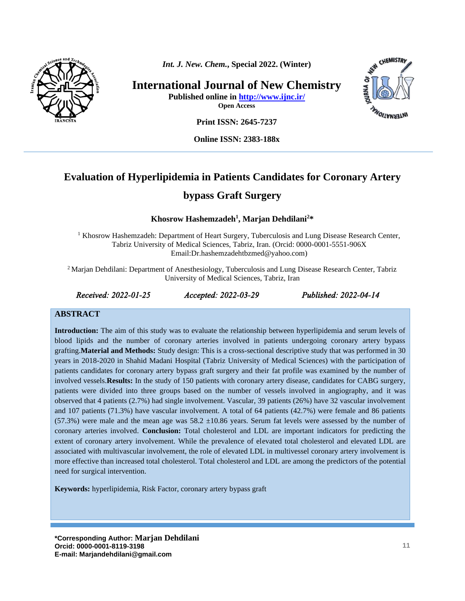

*Int. J. New. Chem.***, Special 2022. (Winter)**

**International Journal of New Chemistry Published online in<http://www.ijnc.ir/>**

**Open Access**



**Print ISSN: 2645-7237**

**Online ISSN: 2383-188x** 

# **Evaluation of Hyperlipidemia in Patients Candidates for Coronary Artery**

# **bypass Graft Surgery**

#### **Khosrow Hashemzadeh<sup>1</sup> , Marjan Dehdilani 2\***

<sup>1</sup> Khosrow Hashemzadeh: Department of Heart Surgery, Tuberculosis and Lung Disease Research Center, Tabriz University of Medical Sciences, Tabriz, Iran. (Orcid: 0000-0001-5551-906X Email[:Dr.hashemzadehtbzmed@yahoo.com\)](mailto:Dr.hashemzadehtbzmed@yahoo.com)

<sup>2</sup> Marjan Dehdilani: Department of Anesthesiology, Tuberculosis and Lung Disease Research Center, Tabriz University of Medical Sciences, Tabriz, Iran

*Received: 2022-01-25 Accepted: 2022-03-29 Published: 2022-04-14* 

#### **ABSTRACT**

**Introduction:** The aim of this study was to evaluate the relationship between hyperlipidemia and serum levels of blood lipids and the number of coronary arteries involved in patients undergoing coronary artery bypass grafting.**Material and Methods:** Study design: This is a cross-sectional descriptive study that was performed in 30 years in 2018-2020 in Shahid Madani Hospital (Tabriz University of Medical Sciences) with the participation of patients candidates for coronary artery bypass graft surgery and their fat profile was examined by the number of involved vessels.**Results:** In the study of 150 patients with coronary artery disease, candidates for CABG surgery, patients were divided into three groups based on the number of vessels involved in angiography, and it was observed that 4 patients (2.7%) had single involvement. Vascular, 39 patients (26%) have 32 vascular involvement and 107 patients (71.3%) have vascular involvement. A total of 64 patients (42.7%) were female and 86 patients (57.3%) were male and the mean age was  $58.2 \pm 10.86$  years. Serum fat levels were assessed by the number of coronary arteries involved. **Conclusion:** Total cholesterol and LDL are important indicators for predicting the extent of coronary artery involvement. While the prevalence of elevated total cholesterol and elevated LDL are associated with multivascular involvement, the role of elevated LDL in multivessel coronary artery involvement is more effective than increased total cholesterol. Total cholesterol and LDL are among the predictors of the potential need for surgical intervention.

**Keywords:** hyperlipidemia, Risk Factor, coronary artery bypass graft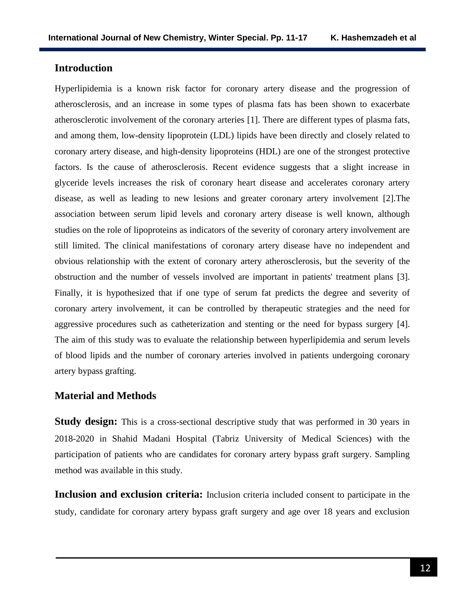# **Introduction**

Hyperlipidemia is a known risk factor for coronary artery disease and the progression of atherosclerosis, and an increase in some types of plasma fats has been shown to exacerbate atherosclerotic involvement of the coronary arteries [1]. There are different types of plasma fats, and among them, low-density lipoprotein (LDL) lipids have been directly and closely related to coronary artery disease, and high-density lipoproteins (HDL) are one of the strongest protective factors. Is the cause of atherosclerosis. Recent evidence suggests that a slight increase in glyceride levels increases the risk of coronary heart disease and accelerates coronary artery disease, as well as leading to new lesions and greater coronary artery involvement [2].The association between serum lipid levels and coronary artery disease is well known, although studies on the role of lipoproteins as indicators of the severity of coronary artery involvement are still limited. The clinical manifestations of coronary artery disease have no independent and obvious relationship with the extent of coronary artery atherosclerosis, but the severity of the obstruction and the number of vessels involved are important in patients' treatment plans [3]. Finally, it is hypothesized that if one type of serum fat predicts the degree and severity of coronary artery involvement, it can be controlled by therapeutic strategies and the need for aggressive procedures such as catheterization and stenting or the need for bypass surgery [4]. The aim of this study was to evaluate the relationship between hyperlipidemia and serum levels of blood lipids and the number of coronary arteries involved in patients undergoing coronary artery bypass grafting.

### **Material and Methods**

**Study design:** This is a cross-sectional descriptive study that was performed in 30 years in 2018-2020 in Shahid Madani Hospital (Tabriz University of Medical Sciences) with the participation of patients who are candidates for coronary artery bypass graft surgery. Sampling method was available in this study.

**Inclusion and exclusion criteria:** Inclusion criteria included consent to participate in the study, candidate for coronary artery bypass graft surgery and age over 18 years and exclusion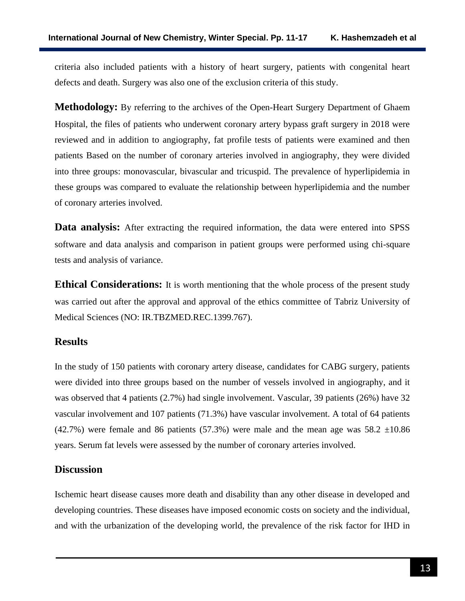criteria also included patients with a history of heart surgery, patients with congenital heart defects and death. Surgery was also one of the exclusion criteria of this study.

**Methodology:** By referring to the archives of the Open-Heart Surgery Department of Ghaem Hospital, the files of patients who underwent coronary artery bypass graft surgery in 2018 were reviewed and in addition to angiography, fat profile tests of patients were examined and then patients Based on the number of coronary arteries involved in angiography, they were divided into three groups: monovascular, bivascular and tricuspid. The prevalence of hyperlipidemia in these groups was compared to evaluate the relationship between hyperlipidemia and the number of coronary arteries involved.

**Data analysis:** After extracting the required information, the data were entered into SPSS software and data analysis and comparison in patient groups were performed using chi-square tests and analysis of variance.

**Ethical Considerations:** It is worth mentioning that the whole process of the present study was carried out after the approval and approval of the ethics committee of Tabriz University of Medical Sciences (NO: [IR.TBZMED.REC.1399.767\)](http://ethics.research.ac.ir/IR.TBZMED.REC.1399.767).

# **Results**

In the study of 150 patients with coronary artery disease, candidates for CABG surgery, patients were divided into three groups based on the number of vessels involved in angiography, and it was observed that 4 patients (2.7%) had single involvement. Vascular, 39 patients (26%) have 32 vascular involvement and 107 patients (71.3%) have vascular involvement. A total of 64 patients (42.7%) were female and 86 patients (57.3%) were male and the mean age was  $58.2 \pm 10.86$ years. Serum fat levels were assessed by the number of coronary arteries involved.

# **Discussion**

Ischemic heart disease causes more death and disability than any other disease in developed and developing countries. These diseases have imposed economic costs on society and the individual, and with the urbanization of the developing world, the prevalence of the risk factor for IHD in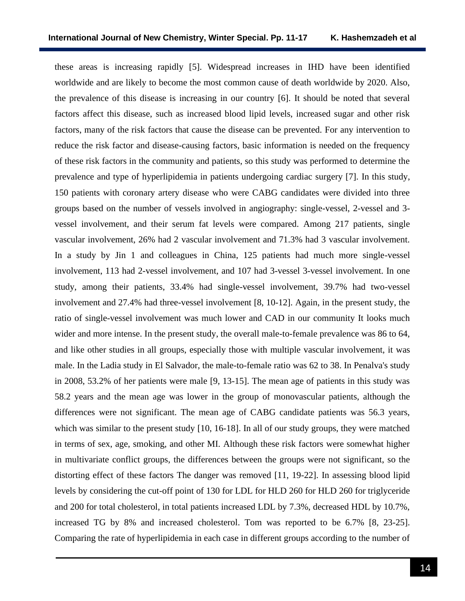these areas is increasing rapidly [5]. Widespread increases in IHD have been identified worldwide and are likely to become the most common cause of death worldwide by 2020. Also, the prevalence of this disease is increasing in our country [6]. It should be noted that several factors affect this disease, such as increased blood lipid levels, increased sugar and other risk factors, many of the risk factors that cause the disease can be prevented. For any intervention to reduce the risk factor and disease-causing factors, basic information is needed on the frequency of these risk factors in the community and patients, so this study was performed to determine the prevalence and type of hyperlipidemia in patients undergoing cardiac surgery [7]. In this study, 150 patients with coronary artery disease who were CABG candidates were divided into three groups based on the number of vessels involved in angiography: single-vessel, 2-vessel and 3 vessel involvement, and their serum fat levels were compared. Among 217 patients, single vascular involvement, 26% had 2 vascular involvement and 71.3% had 3 vascular involvement. In a study by Jin 1 and colleagues in China, 125 patients had much more single-vessel involvement, 113 had 2-vessel involvement, and 107 had 3-vessel 3-vessel involvement. In one study, among their patients, 33.4% had single-vessel involvement, 39.7% had two-vessel involvement and 27.4% had three-vessel involvement [8, 10-12]. Again, in the present study, the ratio of single-vessel involvement was much lower and CAD in our community It looks much wider and more intense. In the present study, the overall male-to-female prevalence was 86 to 64, and like other studies in all groups, especially those with multiple vascular involvement, it was male. In the Ladia study in El Salvador, the male-to-female ratio was 62 to 38. In Penalva's study in 2008, 53.2% of her patients were male [9, 13-15]. The mean age of patients in this study was 58.2 years and the mean age was lower in the group of monovascular patients, although the differences were not significant. The mean age of CABG candidate patients was 56.3 years, which was similar to the present study [10, 16-18]. In all of our study groups, they were matched in terms of sex, age, smoking, and other MI. Although these risk factors were somewhat higher in multivariate conflict groups, the differences between the groups were not significant, so the distorting effect of these factors The danger was removed [11, 19-22]. In assessing blood lipid levels by considering the cut-off point of 130 for LDL for HLD 260 for HLD 260 for triglyceride and 200 for total cholesterol, in total patients increased LDL by 7.3%, decreased HDL by 10.7%, increased TG by 8% and increased cholesterol. Tom was reported to be 6.7% [8, 23-25]. Comparing the rate of hyperlipidemia in each case in different groups according to the number of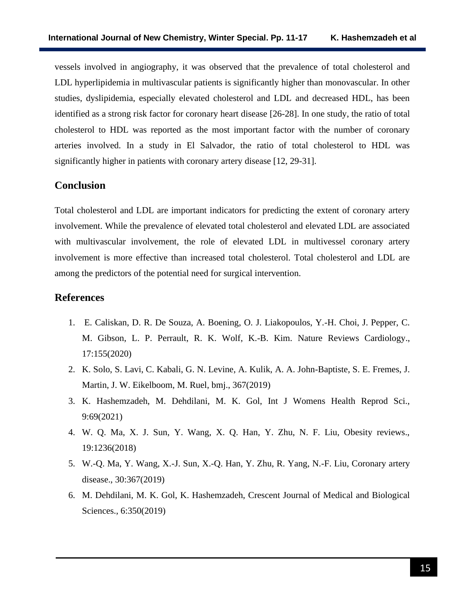vessels involved in angiography, it was observed that the prevalence of total cholesterol and LDL hyperlipidemia in multivascular patients is significantly higher than monovascular. In other studies, dyslipidemia, especially elevated cholesterol and LDL and decreased HDL, has been identified as a strong risk factor for coronary heart disease [26-28]. In one study, the ratio of total cholesterol to HDL was reported as the most important factor with the number of coronary arteries involved. In a study in El Salvador, the ratio of total cholesterol to HDL was significantly higher in patients with coronary artery disease [12, 29-31].

### **Conclusion**

Total cholesterol and LDL are important indicators for predicting the extent of coronary artery involvement. While the prevalence of elevated total cholesterol and elevated LDL are associated with multivascular involvement, the role of elevated LDL in multivessel coronary artery involvement is more effective than increased total cholesterol. Total cholesterol and LDL are among the predictors of the potential need for surgical intervention.

## **References**

- 1. E. Caliskan, D. R. De Souza, A. Boening, O. J. Liakopoulos, Y.-H. Choi, J. Pepper, C. M. Gibson, L. P. Perrault, R. K. Wolf, K.-B. Kim. Nature Reviews Cardiology., 17:155(2020)
- 2. K. Solo, S. Lavi, C. Kabali, G. N. Levine, A. Kulik, A. A. John-Baptiste, S. E. Fremes, J. Martin, J. W. Eikelboom, M. Ruel, bmj., 367(2019)
- 3. K. Hashemzadeh, M. Dehdilani, M. K. Gol, Int J Womens Health Reprod Sci., 9:69(2021)
- 4. W. Q. Ma, X. J. Sun, Y. Wang, X. Q. Han, Y. Zhu, N. F. Liu, Obesity reviews., 19:1236(2018)
- 5. W.-Q. Ma, Y. Wang, X.-J. Sun, X.-Q. Han, Y. Zhu, R. Yang, N.-F. Liu, Coronary artery disease., 30:367(2019)
- 6. M. Dehdilani, M. K. Gol, K. Hashemzadeh, Crescent Journal of Medical and Biological Sciences., 6:350(2019)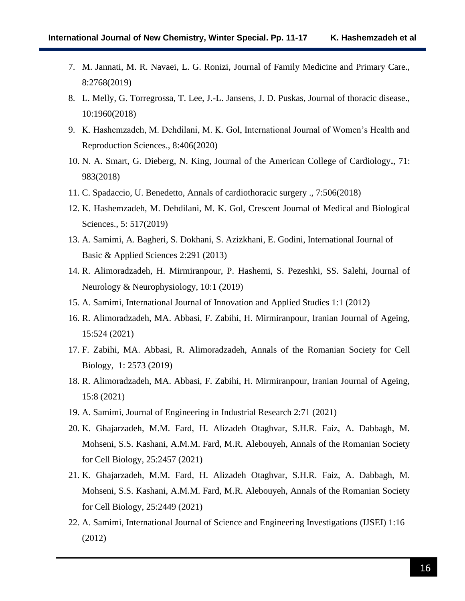- 7. M. Jannati, M. R. Navaei, L. G. Ronizi, Journal of Family Medicine and Primary Care., 8:2768(2019)
- 8. L. Melly, G. Torregrossa, T. Lee, J.-L. Jansens, J. D. Puskas, Journal of thoracic disease., 10:1960(2018)
- 9. K. Hashemzadeh, M. Dehdilani, M. K. Gol, International Journal of Women's Health and Reproduction Sciences., 8:406(2020)
- 10. N. A. Smart, G. Dieberg, N. King, Journal of the American College of Cardiology**.**, 71: 983(2018)
- 11. C. Spadaccio, U. Benedetto, Annals of cardiothoracic surgery ., 7:506(2018)
- 12. K. Hashemzadeh, M. Dehdilani, M. K. Gol, Crescent Journal of Medical and Biological Sciences., 5: 517(2019)
- 13. A. Samimi, A. Bagheri, S. Dokhani, S. Azizkhani, E. Godini, International Journal of Basic & Applied Sciences 2:291 (2013)
- 14. R. Alimoradzadeh, H. Mirmiranpour, P. Hashemi, S. Pezeshki, SS. Salehi, Journal of Neurology & Neurophysiology, 10:1 (2019)
- 15. A. Samimi, International Journal of Innovation and Applied Studies 1:1 (2012)
- 16. R. Alimoradzadeh, MA. Abbasi, F. Zabihi, H. Mirmiranpour, Iranian Journal of Ageing, 15:524 (2021)
- 17. F. Zabihi, MA. Abbasi, R. Alimoradzadeh, Annals of the Romanian Society for Cell Biology, 1: 2573 (2019)
- 18. R. Alimoradzadeh, MA. Abbasi, F. Zabihi, H. Mirmiranpour, Iranian Journal of Ageing, 15:8 (2021)
- 19. A. Samimi, Journal of Engineering in Industrial Research 2:71 (2021)
- 20. K. Ghajarzadeh, M.M. Fard, H. Alizadeh Otaghvar, S.H.R. Faiz, A. Dabbagh, M. Mohseni, S.S. Kashani, A.M.M. Fard, M.R. Alebouyeh, Annals of the Romanian Society for Cell Biology, 25:2457 (2021)
- 21. K. Ghajarzadeh, M.M. Fard, H. Alizadeh Otaghvar, S.H.R. Faiz, A. Dabbagh, M. Mohseni, S.S. Kashani, A.M.M. Fard, M.R. Alebouyeh, Annals of the Romanian Society for Cell Biology, 25:2449 (2021)
- 22. A. Samimi, International Journal of Science and Engineering Investigations (IJSEI) 1:16 (2012)